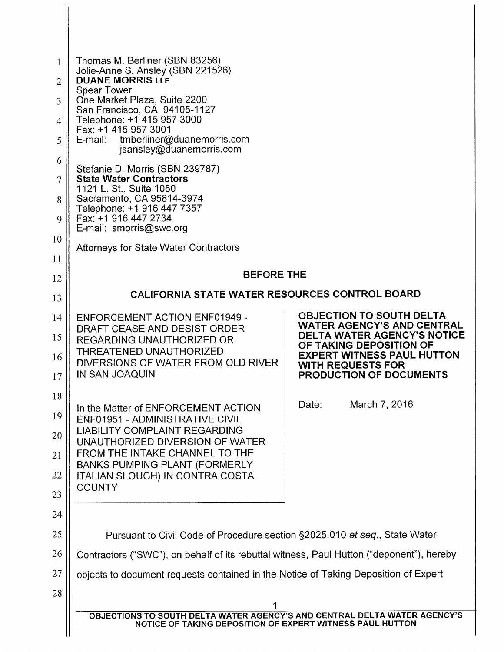| 1<br>$\overline{2}$<br>3<br>4<br>5<br>6<br>7<br>8<br>9 | Thomas M. Berliner (SBN 83256)<br>Jolie-Anne S. Ansley (SBN 221526)<br><b>DUANE MORRIS LLP</b><br><b>Spear Tower</b><br>One Market Plaza, Suite 2200<br>San Francisco, CA 94105-1127<br>Telephone: +1 415 957 3000<br>Fax: +1 415 957 3001<br>tmberliner@duanemorris.com<br>E-mail:<br>jsansley@duanemorris.com<br>Stefanie D. Morris (SBN 239787)<br><b>State Water Contractors</b><br>1121 L. St., Suite 1050<br>Sacramento, CA 95814-3974<br>Telephone: +1 916 447 7357<br>Fax: +1 916 447 2734<br>E-mail: smorris@swc.org |                                                                                                                                                                                                                                                                    |
|--------------------------------------------------------|-------------------------------------------------------------------------------------------------------------------------------------------------------------------------------------------------------------------------------------------------------------------------------------------------------------------------------------------------------------------------------------------------------------------------------------------------------------------------------------------------------------------------------|--------------------------------------------------------------------------------------------------------------------------------------------------------------------------------------------------------------------------------------------------------------------|
| 10                                                     | <b>Attorneys for State Water Contractors</b>                                                                                                                                                                                                                                                                                                                                                                                                                                                                                  |                                                                                                                                                                                                                                                                    |
| 11<br>12                                               | <b>BEFORE THE</b>                                                                                                                                                                                                                                                                                                                                                                                                                                                                                                             |                                                                                                                                                                                                                                                                    |
| 13                                                     | CALIFORNIA STATE WATER RESOURCES CONTROL BOARD                                                                                                                                                                                                                                                                                                                                                                                                                                                                                |                                                                                                                                                                                                                                                                    |
| 14<br>15<br>16<br>17<br>18                             | <b>ENFORCEMENT ACTION ENF01949 -</b><br>DRAFT CEASE AND DESIST ORDER<br>REGARDING UNAUTHORIZED OR<br>THREATENED UNAUTHORIZED<br>DIVERSIONS OF WATER FROM OLD RIVER<br>IN SAN JOAQUIN<br>In the Matter of ENFORCEMENT ACTION                                                                                                                                                                                                                                                                                                   | <b>OBJECTION TO SOUTH DELTA</b><br><b>WATER AGENCY'S AND CENTRAL</b><br><b>DELTA WATER AGENCY'S NOTICE</b><br>OF TAKING DEPOSITION OF<br><b>EXPERT WITNESS PAUL HUTTON</b><br><b>WITH REQUESTS FOR</b><br><b>PRODUCTION OF DOCUMENTS</b><br>March 7, 2016<br>Date: |
| 19<br>20<br>21<br>22<br>23<br>24                       | ENF01951 - ADMINISTRATIVE CIVIL<br><b>LIABILITY COMPLAINT REGARDING</b><br>UNAUTHORIZED DIVERSION OF WATER<br>FROM THE INTAKE CHANNEL TO THE<br><b>BANKS PUMPING PLANT (FORMERLY</b><br><b>ITALIAN SLOUGH) IN CONTRA COSTA</b><br><b>COUNTY</b>                                                                                                                                                                                                                                                                               |                                                                                                                                                                                                                                                                    |
| 25                                                     | Pursuant to Civil Code of Procedure section §2025.010 et seq., State Water                                                                                                                                                                                                                                                                                                                                                                                                                                                    |                                                                                                                                                                                                                                                                    |
| 26                                                     | Contractors ("SWC"), on behalf of its rebuttal witness, Paul Hutton ("deponent"), hereby                                                                                                                                                                                                                                                                                                                                                                                                                                      |                                                                                                                                                                                                                                                                    |
| 27                                                     | objects to document requests contained in the Notice of Taking Deposition of Expert                                                                                                                                                                                                                                                                                                                                                                                                                                           |                                                                                                                                                                                                                                                                    |
| 28                                                     | OBJECTIONS TO SOUTH DELTA WATER AGENCY'S AND CENTRAL DELTA WATER AGENCY'S<br>NOTICE OF TAKING DEPOSITION OF EXPERT WITNESS PAUL HUTTON                                                                                                                                                                                                                                                                                                                                                                                        |                                                                                                                                                                                                                                                                    |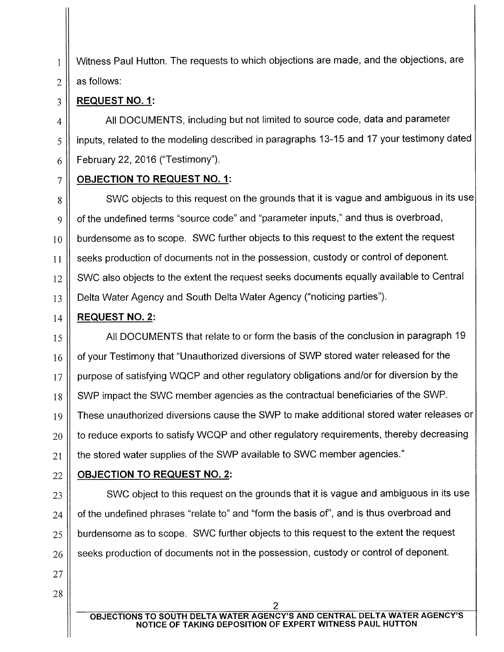1 || Witness Paul Hutton. The requests to which objections are made, and the objections, are  $2 \parallel$  as follows:

### 3 **REQUEST NO. 1:**

4 || All DOCUMENTS, including but not limited to source code, data and parameter 5 | inputs, related to the modeling described in paragraphs 13-15 and 17 your testimony dated  $6 \parallel$  February 22, 2016 ("Testimony").

## 7 **OBJECTION TO REQUEST NO. 1:**

8 || SWC objects to this request on the grounds that it is vague and ambiguous in its use  $9 \parallel$  of the undefined terms "source code" and "parameter inputs," and thus is overbroad,  $10$   $\parallel$  burdensome as to scope. SWC further objects to this request to the extent the request 11 Seeks production of documents not in the possession, custody or control of deponent. 12 SWC also objects to the extent the request seeks documents equally available to Central 13 Delta Water Agency and South Delta Water Agency ("noticing parties").

## 14 **REQUEST NO.2:**

27

28

 $15$  || All DOCUMENTS that relate to or form the basis of the conclusion in paragraph 19  $16$  of your Testimony that "Unauthorized diversions of SWP stored water released for the 17 || purpose of satisfying WQCP and other regulatory obligations and/or for diversion by the 18 SWP impact the SWC member agencies as the contractual beneficiaries of the SWP. 19 || These unauthorized diversions cause the SWP to make additional stored water releases or  $20$   $\parallel$  to reduce exports to satisfy WCQP and other regulatory requirements, thereby decreasing  $21$   $\parallel$  the stored water supplies of the SWP available to SWC member agencies."

# 22 **OBJECTION TO REQUEST NO. 2:**

  $\parallel$  SWC object to this request on the grounds that it is vague and ambiguous in its use of the undefined phrases "relate to" and "form the basis of", and is thus overbroad and  $\parallel$  burdensome as to scope. SWC further objects to this request to the extent the request seeks production of documents not in the possession, custody or control of deponent.

2 **OBJECTIONS TO SOUTH DELTA WATER AGENCY'S AND CENTRAL DELTA WATER AGENCY'S NOTICE OF TAKING DEPOSITION OF EXPERT WITNESS PAUL HUTTON**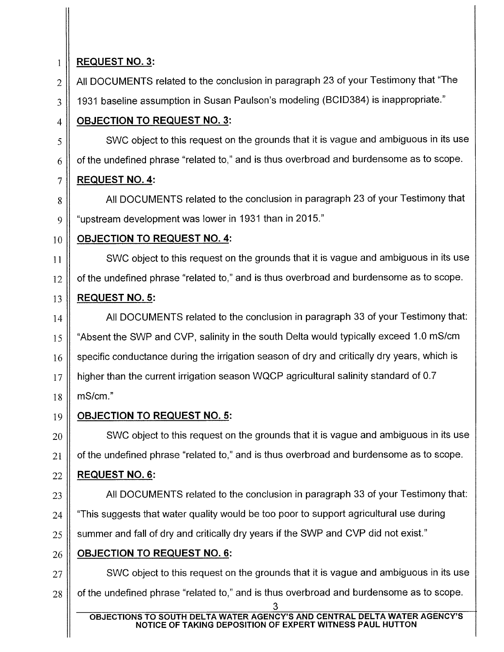## **REQUEST NO. 3:**

 $2 \parallel$  All DOCUMENTS related to the conclusion in paragraph 23 of your Testimony that "The

3 || 1931 baseline assumption in Susan Paulson's modeling (BCID384) is inappropriate."

## **OBJECTION TO REQUEST NO. 3:**

 $\frac{1}{5}$  SWC object to this request on the grounds that it is vague and ambiguous in its use  $6 \parallel$  of the undefined phrase "related to," and is thus overbroad and burdensome as to scope.

## **REQUEST NO. 4:**

8 All DOCUMENTS related to the conclusion in paragraph 23 of your Testimony that 9 "upstream development was lower in 1931 than in 2015."

### **OBJECTION TO REQUEST NO. 4:**

11 || SWC object to this request on the grounds that it is vague and ambiguous in its use of the undefined phrase "related to," and is thus overbroad and burdensome as to scope.

## **REQUEST NO. 5:**

 || All DOCUMENTS related to the conclusion in paragraph 33 of your Testimony that: 15 || "Absent the SWP and CVP, salinity in the south Delta would typically exceed 1.0 mS/cm specific conductance during the irrigation season of dry and critically dry years, which is higher than the current irrigation season WQCP agricultural salinity standard of 0.7 mS/cm."

# **OBJECTION TO REQUEST NO. 5:**

  $\parallel$  SWC object to this request on the grounds that it is vague and ambiguous in its use | of the undefined phrase "related to," and is thus overbroad and burdensome as to scope.

## **REQUEST NO. 6:**

 || All DOCUMENTS related to the conclusion in paragraph 33 of your Testimony that:  $\parallel$  "This suggests that water quality would be too poor to support agricultural use during  $\parallel$  summer and fall of dry and critically dry years if the SWP and CVP did not exist."

# **OBJECTION TO REQUEST NO. 6:**

  $\parallel$  SWC object to this request on the grounds that it is vague and ambiguous in its use  $\parallel$  of the undefined phrase "related to," and is thus overbroad and burdensome as to scope.

**OBJECTIONS TO SOUTH DELTA WATER AGENCY'S AND CENTRAL DELTA WATER AGENCY'S NOTICE OF TAKING DEPOSITION OF EXPERT WITNESS PAUL HUTTON**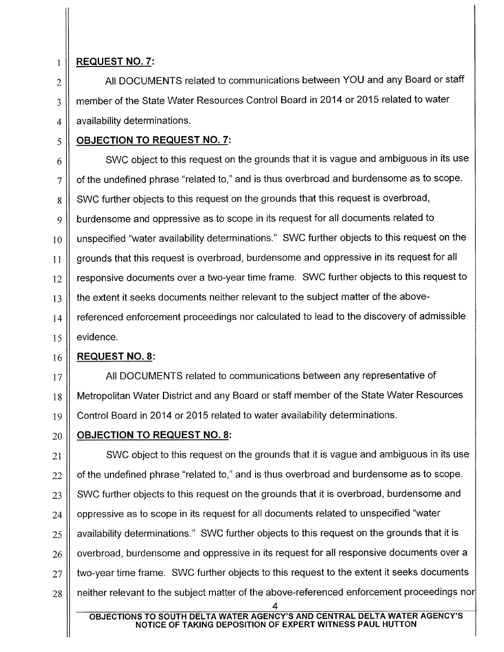### $1 \parallel$  REQUEST NO. 7:

 $2 \parallel$  All DOCUMENTS related to communications between YOU and any Board or staff 3 H member of the State Water Resources Control Board in 2014 or 2015 related to water  $4 \parallel$  availability determinations.

### 5 || OBJECTION TO REQUEST NO. 7:

 $6 \parallel$  SWC object to this request on the grounds that it is vague and ambiguous in its use  $7 \parallel$  of the undefined phrase "related to," and is thus overbroad and burdensome as to scope. 8 | SWC further objects to this request on the grounds that this request is overbroad, 9 burdensome and oppressive as to scope in its request for all documents related to  $10$  unspecified "water availability determinations." SWC further objects to this request on the 11 grounds that this request is overbroad, burdensome and oppressive in its request for all  $12$  responsive documents over a two-year time frame. SWC further objects to this request to 13 || the extent it seeks documents neither relevant to the subject matter of the above- $14$  referenced enforcement proceedings nor calculated to lead to the discovery of admissible  $15$  evidence.

### $16$  | REQUEST NO. 8:

17 | All DOCUMENTS related to communications between any representative of 18 || Metropolitan Water District and any Board or staff member of the State Water Resources 19 || Control Board in 2014 or 2015 related to water availability determinations.

# $20$   $\parallel$  OBJECTION TO REQUEST NO. 8:

 SWC object to this request on the grounds that it is vague and ambiguous in its use | of the undefined phrase "related to," and is thus overbroad and burdensome as to scope. SWC further objects to this request on the grounds that it is overbroad, burdensome and | oppressive as to scope in its request for all documents related to unspecified "water  $\parallel$  availability determinations." SWC further objects to this request on the grounds that it is  $\parallel$  overbroad, burdensome and oppressive in its request for all responsive documents over a  $\parallel$  two-year time frame. SWC further objects to this request to the extent it seeks documents  $\parallel$  neither relevant to the subject matter of the above-referenced enforcement proceedings nor

OBJECTIONS TO SOUTH DELTA WATER AGENCY'S AND CENTRAL DELTA WATER AGENCY'S NOTICE OF TAKING DEPOSITION OF EXPERT WITNESS PAUL HUTTON

4